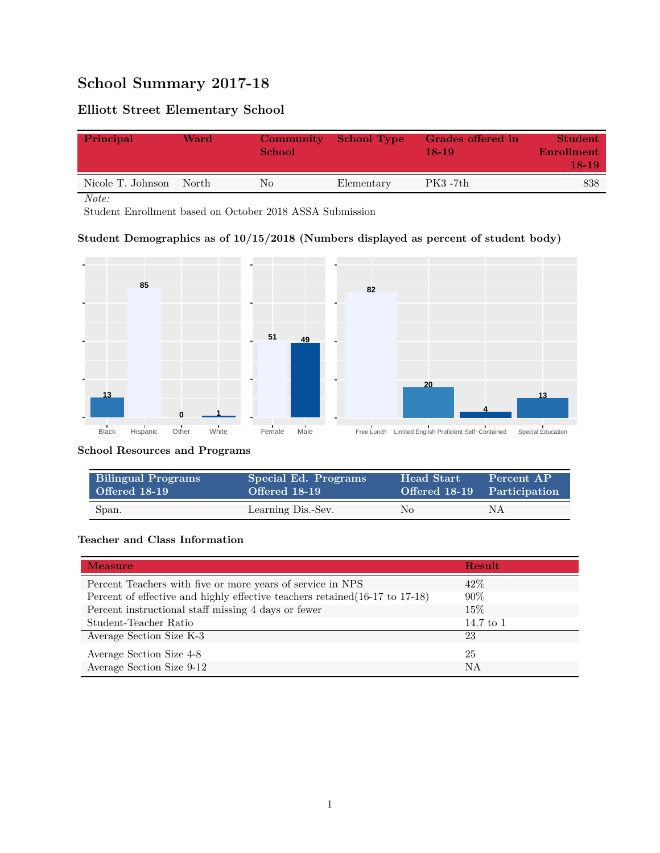# **School Summary 2017-18**

## **Elliott Street Elementary School**

| Principal               | Ward | <b>Community</b><br><b>School</b> | School Type | Grades offered in<br>$18-19$ | <b>Student</b><br>Enrollment<br>$18-19$ |
|-------------------------|------|-----------------------------------|-------------|------------------------------|-----------------------------------------|
| Nicole T. Johnson North |      | No                                | Elementary  | $PK3 - 7th$                  | 838                                     |

*Note:*

Student Enrollment based on October 2018 ASSA Submission

### **Student Demographics as of 10/15/2018 (Numbers displayed as percent of student body)**



#### **School Resources and Programs**

| <b>Bilingual Programs</b> | Special Ed. Programs | <b>Head Start</b> | Percent AP                  |
|---------------------------|----------------------|-------------------|-----------------------------|
| Offered 18-19             | Offered 18-19        |                   | Offered 18-19 Participation |
| Span.                     | Learning Dis.-Sev.   | No.               | ΝA                          |

#### **Teacher and Class Information**

| <b>Measure</b>                                                               | <b>Result</b> |
|------------------------------------------------------------------------------|---------------|
| Percent Teachers with five or more years of service in NPS                   | $42\%$        |
| Percent of effective and highly effective teachers retained (16-17 to 17-18) | $90\%$        |
| Percent instructional staff missing 4 days or fewer                          | 15%           |
| Student-Teacher Ratio                                                        | 14.7 to 1     |
| Average Section Size K-3                                                     | 23            |
| Average Section Size 4-8                                                     | 25            |
| Average Section Size 9-12                                                    | NA            |